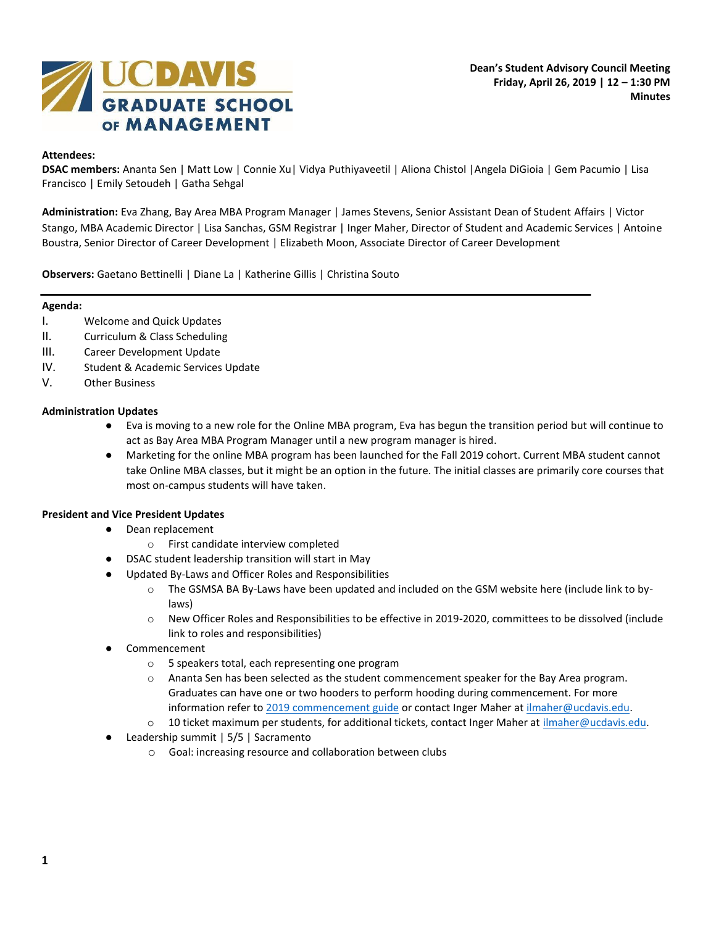

# **Attendees:**

**DSAC members:** Ananta Sen | Matt Low | Connie Xu| Vidya Puthiyaveetil | Aliona Chistol |Angela DiGioia | Gem Pacumio | Lisa Francisco | Emily Setoudeh | Gatha Sehgal

**Administration:** Eva Zhang, Bay Area MBA Program Manager | James Stevens, Senior Assistant Dean of Student Affairs | Victor Stango, MBA Academic Director | Lisa Sanchas, GSM Registrar | Inger Maher, Director of Student and Academic Services | Antoine Boustra, Senior Director of Career Development | Elizabeth Moon, Associate Director of Career Development

**Observers:** Gaetano Bettinelli | Diane La | Katherine Gillis | Christina Souto

### **Agenda:**

- I. Welcome and Quick Updates
- II. Curriculum & Class Scheduling
- III. Career Development Update
- IV. Student & Academic Services Update
- V. Other Business

## **Administration Updates**

- Eva is moving to a new role for the Online MBA program, Eva has begun the transition period but will continue to act as Bay Area MBA Program Manager until a new program manager is hired.
- Marketing for the online MBA program has been launched for the Fall 2019 cohort. Current MBA student cannot take Online MBA classes, but it might be an option in the future. The initial classes are primarily core courses that most on-campus students will have taken.

### **President and Vice President Updates**

- Dean replacement
	- o First candidate interview completed
	- DSAC student leadership transition will start in May
- Updated By-Laws and Officer Roles and Responsibilities
	- $\circ$  The GSMSA BA By-Laws have been updated and included on the GSM website here (include link to bylaws)
	- o New Officer Roles and Responsibilities to be effective in 2019-2020, committees to be dissolved (include link to roles and responsibilities)
- **Commencement** 
	- o 5 speakers total, each representing one program
	- o Ananta Sen has been selected as the student commencement speaker for the Bay Area program. Graduates can have one or two hooders to perform hooding during commencement. For more information refer t[o 2019 commencement guide](https://gsm.ucdavis.edu/general-information/commencement-guide-2019-coming-soon) or contact Inger Maher at [ilmaher@ucdavis.edu.](mailto:ilmaher@ucdavis.edu)
	- o 10 ticket maximum per students, for additional tickets, contact Inger Maher at [ilmaher@ucdavis.edu.](mailto:ilmaher@ucdavis.edu)
- Leadership summit | 5/5 | Sacramento
	- o Goal: increasing resource and collaboration between clubs